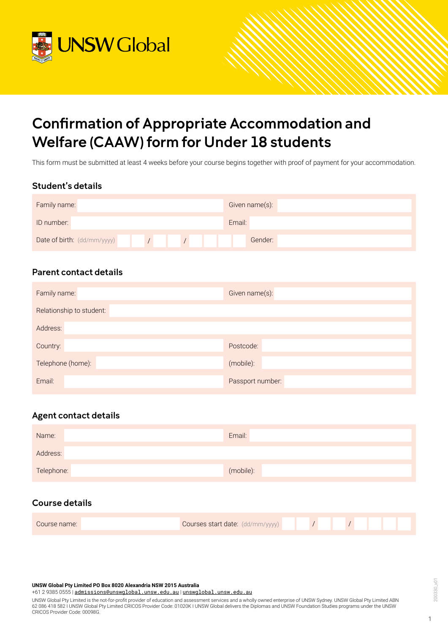

# Confirmation of Appropriate Accommodation and Welfare (CAAW) form for Under 18 students

This form must be submitted at least 4 weeks before your course begins together with proof of payment for your accommodation.

## Student's details

| Family name:                | Given name(s): |
|-----------------------------|----------------|
| ID number:                  | Email:         |
| Date of birth: (dd/mm/yyyy) | Gender:        |

## Parent contact details

| Family name:             | Given name(s):   |
|--------------------------|------------------|
| Relationship to student: |                  |
| Address:                 |                  |
| Country:                 | Postcode:        |
| Telephone (home):        | (mobile):        |
| Email:                   | Passport number: |

# Agent contact details

| Name:      | Email:    |
|------------|-----------|
| Address:   |           |
| Telephone: | (mobile): |

# Course details

| <b>Courses start date:</b> (dd/mm/yyyy)<br>Course name: |  |  |  |  |  |  |  |  |  |  |
|---------------------------------------------------------|--|--|--|--|--|--|--|--|--|--|
|---------------------------------------------------------|--|--|--|--|--|--|--|--|--|--|

## **UNSW Global Pty Limited PO Box 8020 Alexandria NSW 2015 Australia**

+61 2 9385 0555 | [admissions@unswglobal.unsw.edu.au](mailto:admissions@unswglobal.unsw.edu.au) | [unswglobal.unsw.edu.au](http://unswglobal.unsw.edu.au)

UNSW Global Pty Limited is the not-for-profit provider of education and assessment services and a wholly owned enterprise of UNSW Sydney. UNSW Global Pty Limited ABN 62 086 418 582 I UNSW Global Pty Limited CRICOS Provider Code: 01020K I UNSW Global delivers the Diplomas and UNSW Foundation Studies programs under the UNSW CRICOS Provider Code: 00098G.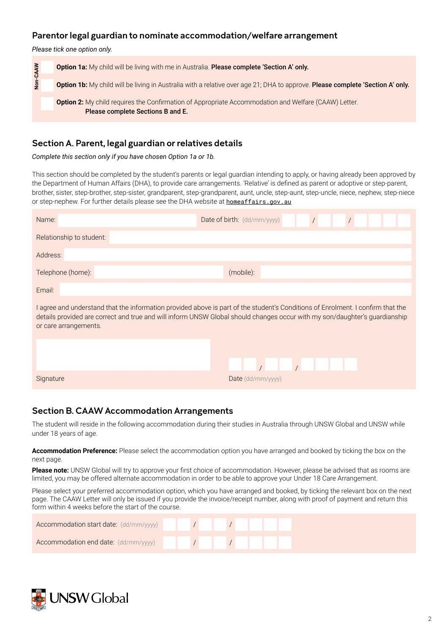## Parentor legal guardian to nominate accommodation/welfare arrangement

*Please tick one option only.*



# Section A. Parent, legal guardian or relatives details

*Complete this section only if you have chosen Option 1a or 1b.*

This section should be completed by the student's parents or legal guardian intending to apply, or having already been approved by the Department of Human Affairs (DHA), to provide care arrangements. 'Relative' is defined as parent or adoptive or step-parent, brother, sister, step-brother, step-sister, grandparent, step-grandparent, aunt, uncle, step-aunt, step-uncle, niece, nephew, step-niece or step-nephew. For further details please see the DHA website at **[homeaffairs.gov.au](http://homeaffairs.gov.au)** 

| Name:                    | Date of birth: (dd/mm/yyyy)                                                                                                                                                                                                                                   |
|--------------------------|---------------------------------------------------------------------------------------------------------------------------------------------------------------------------------------------------------------------------------------------------------------|
| Relationship to student: |                                                                                                                                                                                                                                                               |
| Address:                 |                                                                                                                                                                                                                                                               |
| Telephone (home):        | (mobile):                                                                                                                                                                                                                                                     |
| Email:                   |                                                                                                                                                                                                                                                               |
| or care arrangements.    | I agree and understand that the information provided above is part of the student's Conditions of Enrolment. I confirm that the<br>details provided are correct and true and will inform UNSW Global should changes occur with my son/daughter's guardianship |
|                          |                                                                                                                                                                                                                                                               |
|                          |                                                                                                                                                                                                                                                               |
| Signature                | $Date$ (dd/mm/yyyy)                                                                                                                                                                                                                                           |

# Section B. CAAW Accommodation Arrangements

The student will reside in the following accommodation during their studies in Australia through UNSW Global and UNSW while under 18 years of age.

**Accommodation Preference:** Please select the accommodation option you have arranged and booked by ticking the box on the next page.

**Please note:** UNSW Global will try to approve your first choice of accommodation. However, please be advised that as rooms are limited, you may be offered alternate accommodation in order to be able to approve your Under 18 Care Arrangement.

Please select your preferred accommodation option, which you have arranged and booked, by ticking the relevant box on the next page. The CAAW Letter will only be issued if you provide the invoice/receipt number, along with proof of payment and return this form within 4 weeks before the start of the course.

| Accommodation start date: (dd/mm/yyyy) |  |  |  |  |  |
|----------------------------------------|--|--|--|--|--|
| Accommodation end date: (dd/mm/yyyy)   |  |  |  |  |  |

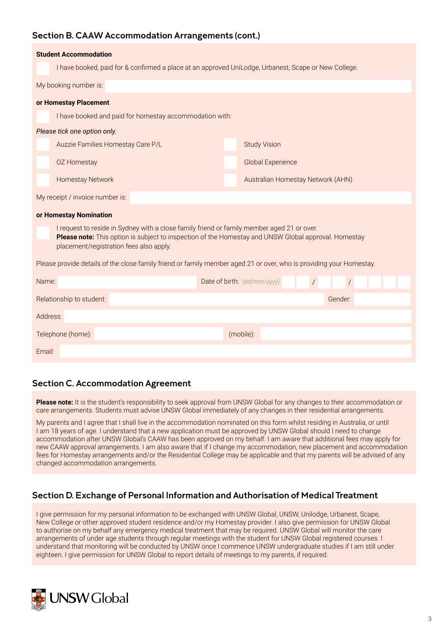## Section B. CAAW Accommodation Arrangements (cont.)

| <b>Student Accommodation</b>                            |                                                                                                                                                                                                    |  |  |  |  |  |  |  |
|---------------------------------------------------------|----------------------------------------------------------------------------------------------------------------------------------------------------------------------------------------------------|--|--|--|--|--|--|--|
|                                                         | I have booked, paid for & confirmed a place at an approved UniLodge, Urbanest, Scape or New College.                                                                                               |  |  |  |  |  |  |  |
| My booking number is:                                   |                                                                                                                                                                                                    |  |  |  |  |  |  |  |
| or Homestay Placement                                   |                                                                                                                                                                                                    |  |  |  |  |  |  |  |
| I have booked and paid for homestay accommodation with: |                                                                                                                                                                                                    |  |  |  |  |  |  |  |
| Please tick one option only.                            |                                                                                                                                                                                                    |  |  |  |  |  |  |  |
| Auzzie Families Homestay Care P/L                       | <b>Study Vision</b>                                                                                                                                                                                |  |  |  |  |  |  |  |
| OZ Homestay                                             | <b>Global Experience</b>                                                                                                                                                                           |  |  |  |  |  |  |  |
| <b>Homestay Network</b>                                 | Australian Homestay Network (AHN)                                                                                                                                                                  |  |  |  |  |  |  |  |
| My receipt / invoice number is:                         |                                                                                                                                                                                                    |  |  |  |  |  |  |  |
| or Homestay Nomination                                  |                                                                                                                                                                                                    |  |  |  |  |  |  |  |
| placement/registration fees also apply.                 | I request to reside in Sydney with a close family friend or family member aged 21 or over.<br>Please note: This option is subject to inspection of the Homestay and UNSW Global approval. Homestay |  |  |  |  |  |  |  |
|                                                         | Please provide details of the close family friend or family member aged 21 or over, who is providing your Homestay.                                                                                |  |  |  |  |  |  |  |
| Name:                                                   | Date of birth: (dd/mm/yyyy)<br>$\sqrt{2}$<br>$\sqrt{2}$                                                                                                                                            |  |  |  |  |  |  |  |
| Relationship to student:                                | Gender:                                                                                                                                                                                            |  |  |  |  |  |  |  |
| Address:                                                |                                                                                                                                                                                                    |  |  |  |  |  |  |  |
| Telephone (home):                                       | (mobile):                                                                                                                                                                                          |  |  |  |  |  |  |  |
| Email:                                                  |                                                                                                                                                                                                    |  |  |  |  |  |  |  |

## Section C. Accommodation Agreement

Please note: It is the student's responsibility to seek approval from UNSW Global for any changes to their accommodation or care arrangements. Students must advise UNSW Global immediately of any changes in their residential arrangements.

My parents and I agree that I shall live in the accommodation nominated on this form whilst residing in Australia, or until I am 18 years of age. I understand that a new application must be approved by UNSW Global should I need to change accommodation after UNSW Global's CAAW has been approved on my behalf. I am aware that additional fees may apply for new CAAW approval arrangements. I am also aware that if I change my accommodation, new placement and accommodation fees for Homestay arrangements and/or the Residential College may be applicable and that my parents will be advised of any changed accommodation arrangements.

# Section D. Exchange of Personal Information and Authorisation of Medical Treatment

I give permission for my personal information to be exchanged with UNSW Global, UNSW, Unilodge, Urbanest, Scape, New College or other approved student residence and/or my Homestay provider. I also give permission for UNSW Global to authorise on my behalf any emergency medical treatment that may be required. UNSW Global will monitor the care arrangements of under age students through regular meetings with the student for UNSW Global registered courses. I understand that monitoring will be conducted by UNSW once I commence UNSW undergraduate studies if I am still under eighteen. I give permission for UNSW Global to report details of meetings to my parents, if required.

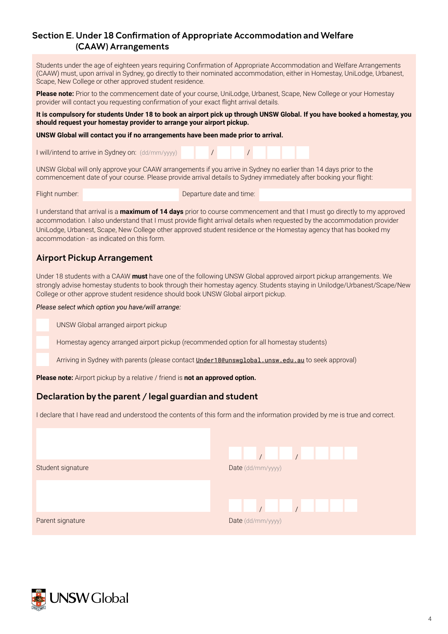## Section E. Under 18 Confirmation of Appropriate Accommodation and Welfare (CAAW) Arrangements

Students under the age of eighteen years requiring Confirmation of Appropriate Accommodation and Welfare Arrangements (CAAW) must, upon arrival in Sydney, go directly to their nominated accommodation, either in Homestay, UniLodge, Urbanest, Scape, New College or other approved student residence.

**Please note:** Prior to the commencement date of your course, UniLodge, Urbanest, Scape, New College or your Homestay provider will contact you requesting confirmation of your exact flight arrival details.

**It is compulsory for students Under 18 to book an airport pick up through UNSW Global. If you have booked a homestay, you should request your homestay provider to arrange your airport pickup.**

 $\sqrt{ }$ 

**UNSW Global will contact you if no arrangements have been made prior to arrival.** 

I will/intend to arrive in Sydney on: (dd/mm/yyyy)

UNSW Global will only approve your CAAW arrangements if you arrive in Sydney no earlier than 14 days prior to the commencement date of your course. Please provide arrival details to Sydney immediately after booking your flight:

 $\sqrt{ }$ 

Flight number: **Departure date and time:** 

I understand that arrival is a **maximum of 14 days** prior to course commencement and that I must go directly to my approved accommodation. I also understand that I must provide flight arrival details when requested by the accommodation provider UniLodge, Urbanest, Scape, New College other approved student residence or the Homestay agency that has booked my accommodation - as indicated on this form.

## Airport Pickup Arrangement

Under 18 students with a CAAW **must** have one of the following UNSW Global approved airport pickup arrangements. We strongly advise homestay students to book through their homestay agency. Students staying in Unilodge/Urbanest/Scape/New College or other approve student residence should book UNSW Global airport pickup.

*Please select which option you have/will arrange:*

UNSW Global arranged airport pickup

Homestay agency arranged airport pickup (recommended option for all homestay students)

Arriving in Sydney with parents (please contact *[Under18@unswglobal.unsw.edu.au](mailto:Under18@unswglobal.unsw.edu.au)* to seek approval)

**Please note:** Airport pickup by a relative / friend is **not an approved option.**

## Declaration by the parent / legal guardian and student

I declare that I have read and understood the contents of this form and the information provided by me is true and correct.

| Student signature | Date (dd/mm/yyyy) |
|-------------------|-------------------|
|                   |                   |
|                   |                   |
| Parent signature  | Date (dd/mm/yyyy) |

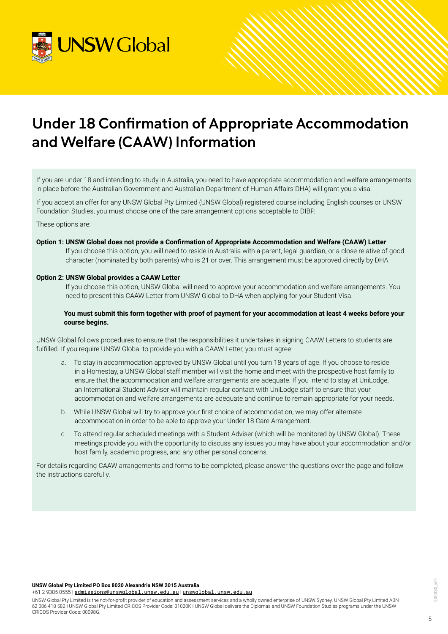

# Under 18 Confirmation of Appropriate Accommodation and Welfare (CAAW) Information

If you are under 18 and intending to study in Australia, you need to have appropriate accommodation and welfare arrangements in place before the Australian Government and Australian Department of Human Affairs DHA) will grant you a visa.

If you accept an offer for any UNSW Global Pty Limited (UNSW Global) registered course including English courses or UNSW Foundation Studies, you must choose one of the care arrangement options acceptable to DIBP.

These options are:

**Option 1: UNSW Global does not provide a Confirmation of Appropriate Accommodation and Welfare (CAAW) Letter** If you choose this option, you will need to reside in Australia with a parent, legal guardian, or a close relative of good character (nominated by both parents) who is 21 or over. This arrangement must be approved directly by DHA.

#### **Option 2: UNSW Global provides a CAAW Letter**

If you choose this option, UNSW Global will need to approve your accommodation and welfare arrangements. You need to present this CAAW Letter from UNSW Global to DHA when applying for your Student Visa.

#### **You must submit this form together with proof of payment for your accommodation at least 4 weeks before your course begins.**

UNSW Global follows procedures to ensure that the responsibilities it undertakes in signing CAAW Letters to students are fulfilled. If you require UNSW Global to provide you with a CAAW Letter, you must agree:

- a. To stay in accommodation approved by UNSW Global until you turn 18 years of age. If you choose to reside in a Homestay, a UNSW Global staff member will visit the home and meet with the prospective host family to ensure that the accommodation and welfare arrangements are adequate. If you intend to stay at UniLodge, an International Student Adviser will maintain regular contact with UniLodge staff to ensure that your accommodation and welfare arrangements are adequate and continue to remain appropriate for your needs.
- b. While UNSW Global will try to approve your first choice of accommodation, we may offer alternate accommodation in order to be able to approve your Under 18 Care Arrangement.
- c. To attend regular scheduled meetings with a Student Adviser (which will be monitored by UNSW Global). These meetings provide you with the opportunity to discuss any issues you may have about your accommodation and/or host family, academic progress, and any other personal concerns.

For details regarding CAAW arrangements and forms to be completed, please answer the questions over the page and follow the instructions carefully.

**UNSW Global Pty Limited PO Box 8020 Alexandria NSW 2015 Australia**

+61 2 9385 0555 | [admissions@unswglobal.unsw.edu.au](mailto:admissions@unswglobal.unsw.edu.au) | [unswglobal.unsw.edu.au](http://unswglobal.unsw.edu.au)

UNSW Global Pty Limited is the not-for-profit provider of education and assessment services and a wholly owned enterprise of UNSW Sydney. UNSW Global Pty Limited ABN 62 086 418 582 I UNSW Global Pty Limited CRICOS Provider Code: 01020K I UNSW Global delivers the Diplomas and UNSW Foundation Studies programs under the UNSW CRICOS Provider Code: 00098G.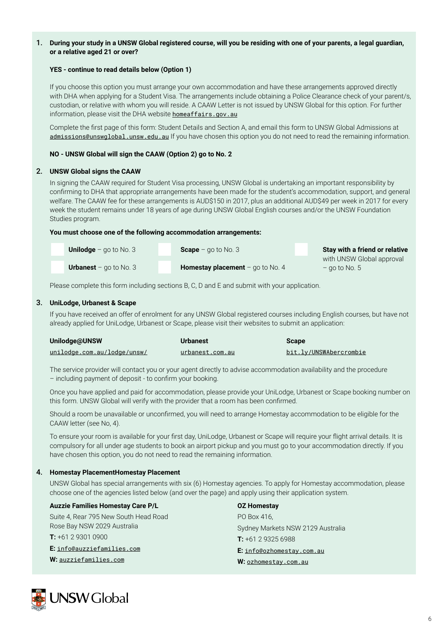## 1. **During your study in a UNSW Global registered course, will you be residing with one of your parents, a legal guardian, or a relative aged 21 or over?**

#### **YES - continue to read details below (Option 1)**

If you choose this option you must arrange your own accommodation and have these arrangements approved directly with DHA when applying for a Student Visa. The arrangements include obtaining a Police Clearance check of your parent/s, custodian, or relative with whom you will reside. A CAAW Letter is not issued by UNSW Global for this option. For further information, please visit the DHA website [homeaffairs.gov.au](http://homeaffairs.gov.au)

Complete the first page of this form: Student Details and Section A, and email this form to UNSW Global Admissions at [admissions@unswglobal.unsw.edu.au](mailto:admissions@unswglobal.unsw.edu.au) If you have chosen this option you do not need to read the remaining information.

## **NO - UNSW Global will sign the CAAW (Option 2) go to No. 2**

## 2. **UNSW Global signs the CAAW**

In signing the CAAW required for Student Visa processing, UNSW Global is undertaking an important responsibility by confirming to DHA that appropriate arrangements have been made for the student's accommodation, support, and general welfare. The CAAW fee for these arrangements is AUD\$150 in 2017, plus an additional AUD\$49 per week in 2017 for every week the student remains under 18 years of age during UNSW Global English courses and/or the UNSW Foundation Studies program.

#### **You must choose one of the following accommodation arrangements:**

| <b>Unilodge</b> – go to No. 3   | <b>Scape</b> – go to No. 3                | Stay with a friend or relative |
|---------------------------------|-------------------------------------------|--------------------------------|
|                                 |                                           | with UNSW Global approval      |
| <b>Urbanest</b> – go to No. $3$ | <b>Homestay placement</b> $-$ go to No. 4 | $-$ go to No. 5                |

Please complete this form including sections B, C, D and E and submit with your application.

## 3. **UniLodge, Urbanest & Scape**

If you have received an offer of enrolment for any UNSW Global registered courses including English courses, but have not already applied for UniLodge, Urbanest or Scape, please visit their websites to submit an application:

| Unilodge@UNSW                      | <b>Urbanest</b> | <b>Scape</b>           |
|------------------------------------|-----------------|------------------------|
| <u>unilodge.com.au/lodge/unsw/</u> | urbanest.com.au | bit.ly/UNSWAbercrombie |

The service provider will contact you or your agent directly to advise accommodation availability and the procedure – including payment of deposit - to confirm your booking.

Once you have applied and paid for accommodation, please provide your UniLodge, Urbanest or Scape booking number on this form. UNSW Global will verify with the provider that a room has been confirmed.

Should a room be unavailable or unconfirmed, you will need to arrange Homestay accommodation to be eligible for the CAAW letter (see No, 4).

To ensure your room is available for your first day, UniLodge, Urbanest or Scape will require your flight arrival details. It is compulsory for all under age students to book an airport pickup and you must go to your accommodation directly. If you have chosen this option, you do not need to read the remaining information.

## 4. **Homestay PlacementHomestay Placement**

UNSW Global has special arrangements with six (6) Homestay agencies. To apply for Homestay accommodation, please choose one of the agencies listed below (and over the page) and apply using their application system.

| <b>Auzzie Families Homestay Care P/L</b> | <b>OZ Homestay</b>                |
|------------------------------------------|-----------------------------------|
| Suite 4, Rear 795 New South Head Road    | PO Box 416.                       |
| Rose Bay NSW 2029 Australia              | Sydney Markets NSW 2129 Australia |
| $T: +61293010900$                        | <b>T:</b> $+61293256988$          |
| E: info@auzziefamilies.com               | E: info@ozhomestay.com.au         |
| W: auzziefamilies.com                    | W: ozhomestay.com.au              |